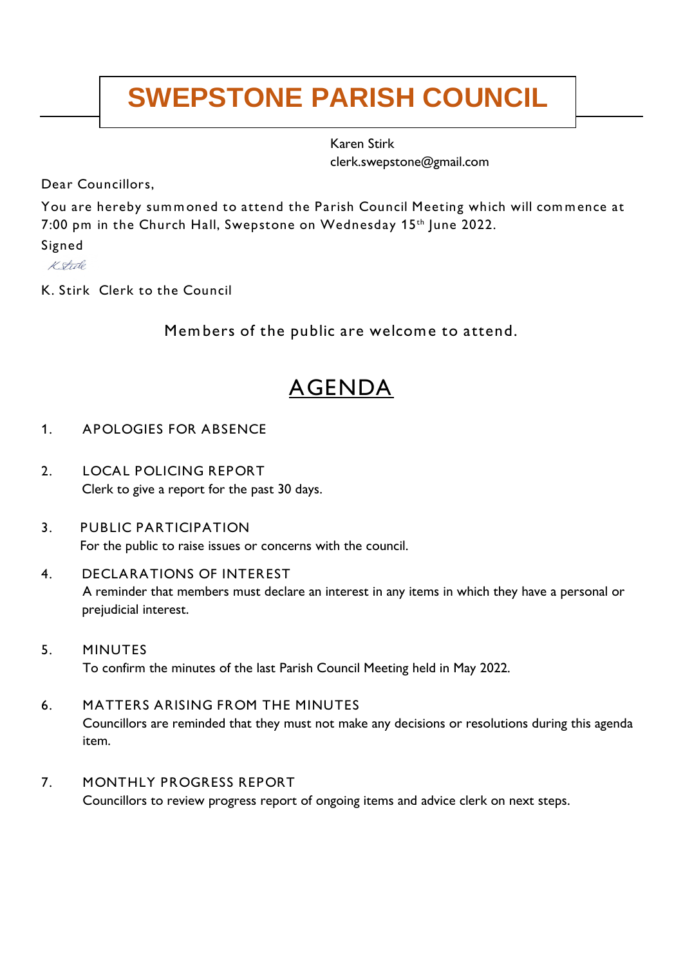# **SWEPSTONE PARISH COUNCIL**

Karen Stirk clerk.swepstone@gmail.com

Dear Councillors,

You are hereby summoned to attend the Parish Council Meeting which will commence at 7:00 pm in the Church Hall, Swepstone on Wednesday 15th June 2022.

Signed

K Stule

K. Stirk Clerk to the Council

Members of the public are welcome to attend.

# AGENDA

## 1. APOLOGIES FOR ABSENCE

- 2. LOCAL POLICING REPORT Clerk to give a report for the past 30 days.
- 3. PUBLIC PARTICIPATION For the public to raise issues or concerns with the council.
- 4. DECLARATIONS OF INTEREST A reminder that members must declare an interest in any items in which they have a personal or prejudicial interest.
- 5. MINUTES To confirm the minutes of the last Parish Council Meeting held in May 2022.
- 6. MATTERS ARISING FROM THE MINUTES Councillors are reminded that they must not make any decisions or resolutions during this agenda item.
- 7. MONTHLY PROGRESS REPORT Councillors to review progress report of ongoing items and advice clerk on next steps.